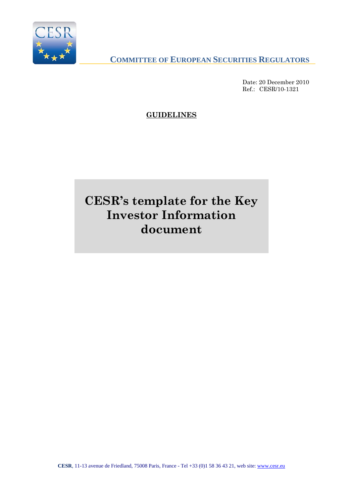

**COMMITTEE OF EUROPEAN SECURITIES REGULATORS**

Date: 20 December 2010 Ref.: CESR/10-1321

**GUIDELINES**

# **CESR's template for the Key Investor Information document**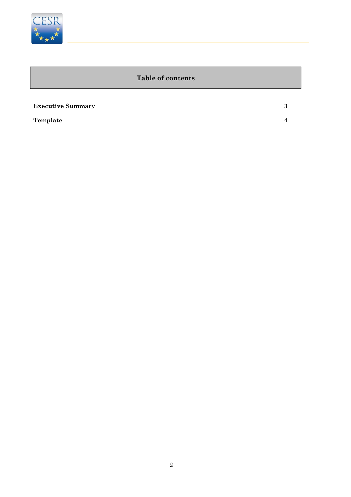

Ī

Ī

#### **Table of contents**

| <b>Executive Summary</b> | 3                      |
|--------------------------|------------------------|
| Template                 | $\boldsymbol{\Lambda}$ |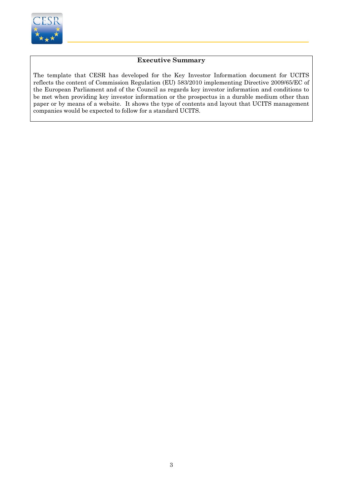

İ

#### **Executive Summary**

The template that CESR has developed for the Key Investor Information document for UCITS reflects the content of Commission Regulation (EU) 583/2010 implementing Directive 2009/65/EC of the European Parliament and of the Council as regards key investor information and conditions to be met when providing key investor information or the prospectus in a durable medium other than paper or by means of a website. It shows the type of contents and layout that UCITS management companies would be expected to follow for a standard UCITS.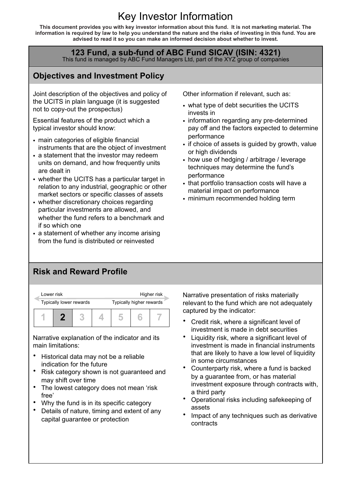## Key Investor Information

**This document provides you with key investor information about this fund. It is not marketing material. The information is required by law to help you understand the nature and the risks of investing in this fund. You are advised to read it so you can make an informed decision about whether to invest.** 

## **123 Fund, a sub-fund of ABC Fund SICAV (ISIN: 4321)**<br>This fund is managed by ABC Fund Managers Ltd, part of the XYZ group of companies

### **Objectives and Investment Policy**

Joint description of the objectives and policy of the UCITS in plain language (it is suggested not to copy-out the prospectus)

Essential features of the product which a typical investor should know:

- main categories of eligible financial instruments that are the object of investment
- a statement that the investor may redeem units on demand, and how frequently units are dealt in
- whether the UCITS has a particular target in relation to any industrial, geographic or other market sectors or specific classes of assets
- whether discretionary choices regarding particular investments are allowed, and whether the fund refers to a benchmark and if so which one
- a statement of whether any income arising from the fund is distributed or reinvested

Other information if relevant, such as:

- what type of debt securities the UCITS invests in
- information regarding any pre-determined pay off and the factors expected to determine performance
- if choice of assets is guided by growth, value or high dividends
- how use of hedging / arbitrage / leverage techniques may determine the fund's performance
- that portfolio transaction costs will have a material impact on performance
- minimum recommended holding term

#### **Risk and Reward Profile**



Narrative explanation of the indicator and its main limitations:

- Historical data may not be a reliable indication for the future
- Risk category shown is not guaranteed and may shift over time
- The lowest category does not mean 'risk free'
- Why the fund is in its specific category
- Details of nature, timing and extent of any capital guarantee or protection

Narrative presentation of risks materially relevant to the fund which are not adequately captured by the indicator:

- Credit risk, where a significant level of investment is made in debt securities
- Liquidity risk, where a significant level of investment is made in financial instruments that are likely to have a low level of liquidity in some circumstances
- Counterparty risk, where a fund is backed by a guarantee from, or has material investment exposure through contracts with, a third party
- Operational risks including safekeeping of assets
- Impact of any techniques such as derivative contracts